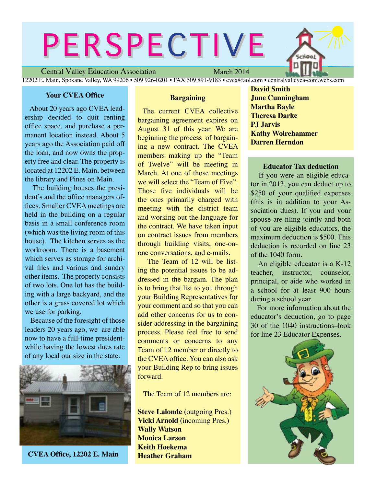# PERSPECTIVE

Central Valley Education Association

March 2014

12202 E. Main, Spokane Valley, WA 99206 • 509 926-0201 • FAX 509 891-9183 • cvea@aol.com • centralvalleyea-com.webs.com

#### **Your CVEA Office**

About 20 years ago CVEA leadership decided to quit renting office space, and purchase a permanent location instead. About 5 years ago the Association paid off the loan, and now owns the property free and clear. The property is located at 12202 E. Main, between the library and Pines on Main.

 The building houses the president's and the office managers offices. Smaller CVEA meetings are held in the building on a regular basis in a small conference room (which was the living room of this house). The kitchen serves as the workroom. There is a basement which serves as storage for archival files and various and sundry other items. The property consists of two lots. One lot has the building with a large backyard, and the other is a grass covered lot which we use for parking.

Because of the foresight of those leaders 20 years ago, we are able now to have a full-time presidentwhile having the lowest dues rate of any local our size in the state.



**CVEA Office, 12202 E. Main**

#### **Bargaining**

 The current CVEA collective bargaining agreement expires on August 31 of this year. We are beginning the process of bargaining a new contract. The CVEA members making up the "Team of Twelve" will be meeting in March. At one of those meetings we will select the "Team of Five". Those five individuals will be the ones primarily charged with meeting with the district team and working out the language for the contract. We have taken input on contract issues from members through building visits, one-onone conversations, and e-mails.

 The Team of 12 will be listing the potential issues to be addressed in the bargain. The plan is to bring that list to you through your Building Representatives for your comment and so that you can add other concerns for us to consider addressing in the bargaining process. Please feel free to send comments or concerns to any Team of 12 member or directly to the CVEA office. You can also ask your Building Rep to bring issues forward.

The Team of 12 members are:

**Steve Lalonde (**outgoing Pres.) **Vicki Arnold (**incoming Pres.) **Wally Watson Monica Larson Keith Hoekema Heather Graham**

**David Smith June Cunningham Martha Bayle Theresa Darke PJ Jarvis Kathy Wolrehammer Darren Herndon**

#### **Educator Tax deduction**

 If you were an eligible educator in 2013, you can deduct up to \$250 of your qualified expenses (this is in addition to your Association dues). If you and your spouse are filing jointly and both of you are eligible educators, the maximum deduction is \$500. This deduction is recorded on line 23 of the 1040 form.

 An eligible educator is a K-12 teacher, instructor, counselor, principal, or aide who worked in a school for at least 900 hours during a school year.

 For more information about the educator's deduction, go to page 30 of the 1040 instructions–look for line 23 Educator Expenses.

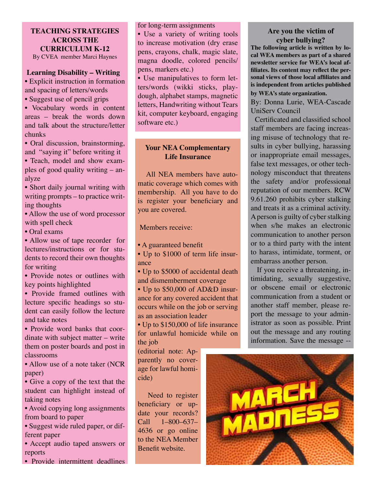#### **TEACHING STRATEGIES ACROSS THE CURRICULUM K-12** By CVEA member Marci Haynes

#### **Learning Disability – Writing**

• Explicit instruction in formation and spacing of letters/words

• Suggest use of pencil grips

• Vocabulary words in content areas – break the words down and talk about the structure/letter chunks

• Oral discussion, brainstorming, and "saying it" before writing it

• Teach, model and show examples of good quality writing – analyze

• Short daily journal writing with writing prompts – to practice writing thoughts

• Allow the use of word processor with spell check

• Oral exams

• Allow use of tape recorder for lectures/instructions or for students to record their own thoughts for writing

• Provide notes or outlines with key points highlighted

• Provide framed outlines with lecture specific headings so student can easily follow the lecture and take notes

• Provide word banks that coordinate with subject matter – write them on poster boards and post in classrooms

• Allow use of a note taker (NCR) paper)

• Give a copy of the text that the student can highlight instead of taking notes

• Avoid copying long assignments from board to paper

• Suggest wide ruled paper, or different paper

• Accept audio taped answers or reports

• Provide intermittent deadlines

for long-term assignments

• Use a variety of writing tools to increase motivation (dry erase pens, crayons, chalk, magic slate, magna doodle, colored pencils/ pens, markers etc.)

• Use manipulatives to form letters/words (wikki sticks, playdough, alphabet stamps, magnetic letters, Handwriting without Tears kit, computer keyboard, engaging software etc.)

#### **Your NEA Complementary Life Insurance**

All NEA members have automatic coverage which comes with membership. All you have to do is register your beneficiary and you are covered.

Members receive:

• A guaranteed benefit

• Up to \$1000 of term life insurance

• Up to \$5000 of accidental death and dismemberment coverage

• Up to \$50,000 of AD&D insurance for any covered accident that occurs while on the job or serving as an association leader

• Up to \$150,000 of life insurance for unlawful homicide while on the job

(editorial note: Apparently no coverage for lawful homicide)

 Need to register beneficiary or update your records? Call 1–800–637– 4636 or go online to the NEA Member Benefit website.

#### **Are you the victim of cyber bullying?**

**The following article is written by local WEA members as part of a shared newsletter service for WEA's local affiliates. Its content may reflect the personal views of those local affiliates and is independent from articles published** 

#### **by WEA's state organization.**

By: Donna Lurie, WEA-Cascade UniServ Council

 Certificated and classified school staff members are facing increasing misuse of technology that results in cyber bullying, harassing or inappropriate email messages, false text messages, or other technology misconduct that threatens the safety and/or professional reputation of our members. RCW 9.61.260 prohibits cyber stalking and treats it as a criminal activity. A person is guilty of cyber stalking when s/he makes an electronic communication to another person or to a third party with the intent to harass, intimidate, torment, or embarrass another person.

 If you receive a threatening, intimidating, sexually suggestive, or obscene email or electronic communication from a student or another staff member, please report the message to your administrator as soon as possible. Print out the message and any routing information. Save the message --